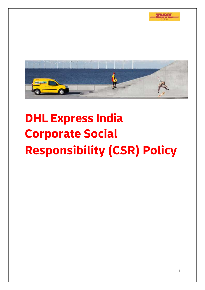



# **DHL Express India Corporate Social Responsibility (CSR) Policy**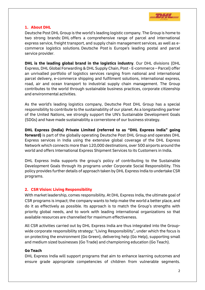

## **1. About DHL**

Deutsche Post DHL Group is the world's leading logistic company. The Group is home to two strong brands: DHL offers a comprehensive range of parcel and international express service, freight transport, and supply chain management services, as well as ecommerce logistics solutions. Deutsche Post is Europe's leading postal and parcel service provider.

**DHL is the leading global brand in the logistics industry**. Our DHL divisions (DHL Express, DHL Global Forwarding & DHL Supply Chain, Post - E-commerce – Parcel) offer an unrivalled portfolio of logistics services ranging from national and international parcel delivery, e-commerce shipping and fulfilment solutions, international express, road, air and ocean transport to industrial supply chain management. The Group contributes to the world through sustainable business practices, corporate citizenship and environmental activities.

As the world's leading logistics company, Deutsche Post DHL Group has a special responsibility to contribute to the sustainability of our planet. As a longstanding partner of the United Nations, we strongly support the UN's Sustainable Development Goals (SDGs) and have made sustainability a cornerstone of our business strategy.

**DHL Express (India) Private Limited (referred to as "DHL Express India" going forward)** is part of the globally operating Deutsche Post DHL Group and operates DHL Express services in India using the extensive global coverage of the DHL Express Network which connects more than 120,000 destinations, over 500 airports around the world and offers International Express Shipment Services to its Customers in India.

DHL Express India supports the group's policy of contributing to the Sustainable Development Goals through its programs under Corporate Social Responsibility. This policy provides further details of approach taken by DHL Express India to undertake CSR programs.

## **2. CSR Vision: Living Responsibility**

With market leadership, comes responsibility. At DHL Express India, the ultimate goal of CSR programs is impact; the company wants to help make the world a better place, and do it as effectively as possible. Its approach is to match the Group's strengths with priority global needs, and to work with leading international organizations so that available resources are channelled for maximum effectiveness.

All CSR activities carried out by DHL Express India are thus integrated into the Groupwide corporate responsibility strategy: "Living Responsibility", under which the focus is on protecting the environment (Go Green), delivering help (Go Help), supporting small and medium sized businesses (Go Trade) and championing education (Go Teach).

## **Go Teach**

DHL Express India will support programs that aim to enhance learning outcomes and ensure grade appropriate competencies of children from vulnerable segments.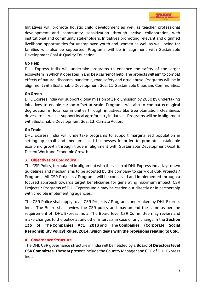

Initiatives will promote holistic child development as well as teacher professional development and community sensitization through active collaboration with institutional and community stakeholders. Initiatives promoting relevant and dignified livelihood opportunities for unemployed youth and women as well as well-being for families will also be supported. Programs will be in alignment with Sustainable Development Goal 4: Quality Education.

#### **Go Help**

DHL Express India will undertake programs to enhance the safety of the larger ecosystem in which it operates in and be a carrier of help. The projects will aim to combat effects of natural disasters, pandemic, road safety and drug abuse. Programs will be in alignment with Sustainable Development Goal 11: Sustainable Cities and Communities.

#### **Go Green**

DHL Express India will support global mission of Zero Emission by 2050 by undertaking initiatives to enable carbon offset at scale. Programs will aim to combat ecological degradation in local communities through initiatives like tree plantation, cleanliness drives etc. as well as support local agroforestry initiatives. Programs will be in alignment with Sustainable Development Goal 13: Climate Action.

#### **Go Trade**

DHL Express India will undertake programs to support marginalised population in setting up small and medium sized businesses in order to promote sustainable economic growth through trade in alignment with Sustainable Development Goal 8: Decent Work and Economic Growth.

### **3. Objectives of CSR Policy**

The CSR Policy, formulated in alignment with the vision of DHL Express India, lays down guidelines and mechanisms to be adopted by the company to carry out CSR Projects / Programs. All CSR Projects / Programs will be conceived and implemented through a focused approach towards target beneficiaries for generating maximum impact. CSR Projects / Programs of DHL Express India may be carried out directly or in partnership with credible implementing agencies.

The CSR Policy shall apply to all CSR Projects / Programs undertaken by DHL Express India. The Board shall review the CSR policy and may amend the same as per the requirement of DHL Express India. The Board level CSR Committee may review and make changes to the policy at any other intervals in case of any change in the **Section 135 of The [Companies Act, 2013](https://taxguru.in/company-law/presidents-assent-companies-act-2013.html)** and The **[Companies \(Corporate Social](https://taxguru.in/company-law/govt-notifies-csr-rules-wef-01042014-companies-spend-2-profit.html) [Responsibility Policy\) Rules, 2014,](https://taxguru.in/company-law/govt-notifies-csr-rules-wef-01042014-companies-spend-2-profit.html) which deals with the provisions relating to CSR.**

### **4. Governance Structure**

The DHL CSR governance structure in India will be headed by a **Board of Directors level CSR Committee**. These at present include the Country Manager and CFO of DHL Express India.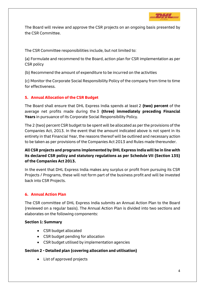

The Board will review and approve the CSR projects on an ongoing basis presented by the CSR Committee.

The CSR Committee responsibilities include, but not limited to:

(a) Formulate and recommend to the Board, action plan for CSR implementation as per CSR policy

(b) Recommend the amount of expenditure to be incurred on the activities

(c) Monitor the Corporate Social Responsibility Policy of the company from time to time for effectiveness.

## **5. Annual Allocation of the CSR Budget**

The Board shall ensure that DHL Express India spends at least 2 **(two) percent** of the average net profits made during the 3 **(three) immediately preceding Financial Years** in pursuance of its Corporate Social Responsibility Policy.

The 2 (two) percent CSR budget to be spent will be allocated as per the provisions of the Companies Act, 2013. In the event that the amount indicated above is not spent in its entirety in that Financial Year, the reasons thereof will be outlined and necessary action to be taken as per provisions of the Companies Act 2013 and Rules made thereunder.

# **All CSR projects and programs implemented by DHL Express India will be in line with its declared CSR policy and statutory regulations as per Schedule VII (Section 135) of the Companies Act 2013.**

In the event that DHL Express India makes any surplus or profit from pursuing its CSR Projects / Programs, these will not form part of the business profit and will be invested back into CSR Projects.

## **6. Annual Action Plan**

The CSR committee of DHL Express India submits an Annual Action Plan to the Board (reviewed on a regular basis). The Annual Action Plan is divided into two sections and elaborates on the following components:

### **Section 1: Summary**

- CSR budget allocated
- CSR budget pending for allocation
- CSR budget utilised by implementation agencies

## **Section 2 - Detailed plan (covering allocation and utilisation)**

List of approved projects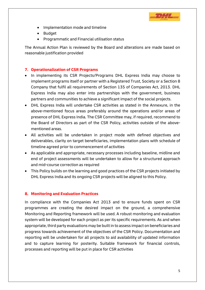

- Implementation mode and timeline
- Budget
- Programmatic and Financial utilisation status

The Annual Action Plan is reviewed by the Board and alterations are made based on reasonable justification provided

## **7. Operationalization of CSR Programs**

- In implementing its CSR Projects/Programs DHL Express India may choose to implement programs itself or partner with a Registered Trust, Society or a Section 8 Company that fulfil all requirements of Section 135 of Companies Act, 2013. DHL Express India may also enter into partnerships with the government, business partners and communities to achieve a significant impact of the social projects.
- DHL Express India will undertake CSR activities as stated in the Annexure, in the above-mentioned focus areas preferably around the operations and/or areas of presence of DHL Express India. The CSR Committee may, if required, recommend to the Board of Directors as part of the CSR Policy, activities outside of the abovementioned areas.
- All activities will be undertaken in project mode with defined objectives and deliverables, clarity on target beneficiaries, implementation plans with schedule of timeline agreed prior to commencement of activities
- As applicable and appropriate, necessary processes including baseline, midline and end of project assessments will be undertaken to allow for a structured approach and mid-course correction as required
- This Policy builds on the learning and good practices of the CSR projects initiated by DHL Express India and its ongoing CSR projects will be aligned to this Policy.

### **8. Monitoring and Evaluation Practices**

In compliance with the Companies Act 2013 and to ensure funds spent on CSR programmes are creating the desired impact on the ground, a comprehensive Monitoring and Reporting framework will be used. A robust monitoring and evaluation system will be developed for each project as per its specific requirements. As and when appropriate, third party evaluations may be built in to assess impact on beneficiaries and progress towards achievement of the objectives of the CSR Policy. Documentation and reporting will be undertaken for all projects to aid availability of updated information and to capture learning for posterity. Suitable framework for financial controls, processes and reporting will be put in place for CSR activities